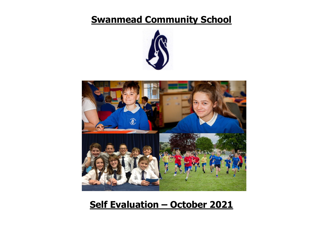# **Swanmead Community School**





# **Self Evaluation – October 2021**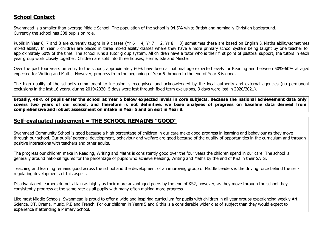# **School Context**

Swanmead is a smaller than average Middle School. The population of the school is 94.5% white British and nominally Christian background. Currently the school has 308 pupils on role.

Pupils in Year 6, 7 and 8 are currently taught in 9 classes (Yr  $6 = 4$ , Yr  $7 = 2$ , Yr  $8 = 3$ ) sometimes these are based on English & Maths ability/sometimes mixed ability. In Year 5 children are placed in three mixed ability classes where they have a more primary school system being taught by one teacher for approximately 60% of the time. The school runs a tutor group system. All children have a tutor who is their first point of pastoral support, the tutors in each year group work closely together. Children are split into three houses; Herne, Isle and Minster

Over the past four years on entry to the school, approximately 60% have been at national age expected levels for Reading and between 50%-60% at aged expected for Writing and Maths. However, progress from the beginning of Year 5 through to the end of Year 8 is good.

The high quality of the school's commitment to inclusion is recognised and acknowledged by the local authority and external agencies (no permanent exclusions in the last 16 years, during 2019/2020, 5 days were lost through fixed term exclusions, 3 days were lost in 2020/2021).

**Broadly, 40% of pupils enter the school at Year 5 below expected levels in core subjects. Because the national achievement data only covers two years of our school, and therefore is not definitive, we base analyses of progress on baseline data derived from comprehensive and robust assessment on intake in Year 5 and on exit in Year 8.**

# **Self-evaluated judgement = THE SCHOOL REMAINS "GOOD"**

Swanmead Community School is good because a high percentage of children in our care make good progress in learning and behaviour as they move through our school. Our pupils' personal development, behaviour and welfare are good because of the quality of opportunities in the curriculum and through positive interactions with teachers and other adults.

The progress our children make in Reading, Writing and Maths is consistently good over the four years the children spend in our care. The school is generally around national figures for the percentage of pupils who achieve Reading, Writing and Maths by the end of KS2 in their SATS.

Teaching and learning remains good across the school and the development of an improving group of Middle Leaders is the driving force behind the selfregulating developments of this aspect.

Disadvantaged learners do not attain as highly as their more advantaged peers by the end of KS2, however, as they move through the school they consistently progress at the same rate as all pupils with many often making more progress.

Like most Middle Schools, Swanmead is proud to offer a wide and inspiring curriculum for pupils with children in all year groups experiencing weekly Art, Science, DT, Drama, Music, P.E and French. For our children in Years 5 and 6 this is a considerable wider diet of subject than they would expect to experience if attending a Primary School.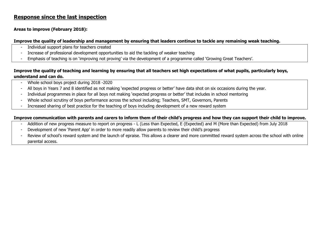# **Response since the last inspection**

## **Areas to improve (February 2018):**

## **Improve the quality of leadership and management by ensuring that leaders continue to tackle any remaining weak teaching.**

- Individual support plans for teachers created
- Increase of professional development opportunities to aid the tackling of weaker teaching
- Emphasis of teaching is on 'improving not proving' via the development of a programme called 'Growing Great Teachers'.

# **Improve the quality of teaching and learning by ensuring that all teachers set high expectations of what pupils, particularly boys, understand and can do.**

- Whole school boys project during 2018 -2020
- All boys in Years 7 and 8 identified as not making 'expected progress or better' have data shot on six occasions during the year.
- Individual programmes in place for all boys not making 'expected progress or better' that includes in school mentoring
- Whole school scrutiny of boys performance across the school including; Teachers, SMT, Governors, Parents
- Increased sharing of best practice for the teaching of boys including development of a new reward system

## **Improve communication with parents and carers to inform them of their child's progress and how they can support their child to improve.**

- Addition of new progress measure to report on progress L (Less than Expected, E (Expected) and M (More than Expected) from July 2018
- Development of new 'Parent App' in order to more readily allow parents to review their child's progress
- Review of school's reward system and the launch of epraise. This allows a clearer and more committed reward system across the school with online parental access.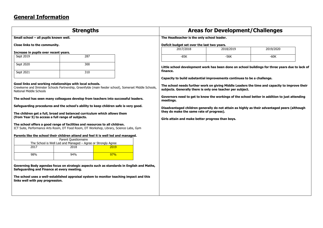# **General Information**

|                                                   | <b>Strengths</b>                                                                                                                                                       |      |                                                            | <b>Areas for Development/Challenges</b>                                 |                                                                                                 |  |  |  |
|---------------------------------------------------|------------------------------------------------------------------------------------------------------------------------------------------------------------------------|------|------------------------------------------------------------|-------------------------------------------------------------------------|-------------------------------------------------------------------------------------------------|--|--|--|
| Small school - all pupils known well.             |                                                                                                                                                                        |      | The Headteacher is the only school leader.                 |                                                                         |                                                                                                 |  |  |  |
| Close links to the community.                     |                                                                                                                                                                        |      | Deficit budget set over the last two years.                |                                                                         |                                                                                                 |  |  |  |
| Increase in pupils over recent years.             |                                                                                                                                                                        |      | 2017/2018                                                  | 2018/2019                                                               | 2019/2020                                                                                       |  |  |  |
| Sept 2019                                         | 287                                                                                                                                                                    |      | $-85K$                                                     | $-56K$                                                                  | $-60K$                                                                                          |  |  |  |
| Sept 2020                                         | 300                                                                                                                                                                    |      |                                                            |                                                                         | Little school development work has been done on school buildings for three years due to lack of |  |  |  |
| Sept 2021                                         | 310                                                                                                                                                                    |      | finance.                                                   |                                                                         |                                                                                                 |  |  |  |
|                                                   |                                                                                                                                                                        |      |                                                            | Capacity to build substantial improvements continues to be a challenge. |                                                                                                 |  |  |  |
| National Middle Schools                           | Good links and working relationships with local schools.<br>Crewkerne and Ilminster Schools Partnership, Greenfylde (main feeder school), Somerset Middle Schools,     |      | subjects. Generally there is only one teacher per subject. |                                                                         | The school needs further work on giving Middle Leaders the time and capacity to improve their   |  |  |  |
|                                                   | The school has seen many colleagues develop from teachers into successful leaders.                                                                                     |      | meetings.                                                  |                                                                         | Governors need to get to know the workings of the school better in addition to just attending   |  |  |  |
|                                                   | Safeguarding procedures and the school's ability to keep children safe is very good.                                                                                   |      |                                                            |                                                                         | Disadvantaged children generally do not attain as highly as their advantaged peers (although    |  |  |  |
|                                                   | The children get a full, broad and balanced curriculum which allows them                                                                                               |      | they do make the same rate of progress).                   |                                                                         |                                                                                                 |  |  |  |
| (from Year 5) to access a full range of subjects. |                                                                                                                                                                        |      | Girls attain and make better progress than boys.           |                                                                         |                                                                                                 |  |  |  |
|                                                   | The school offers a good range of facilities and resources to all children.<br>ICT Suite, Performance Arts Room, DT Food Room, DT Workshop, Library, Science Labs, Gym |      |                                                            |                                                                         |                                                                                                 |  |  |  |
|                                                   | Parents like the school their children attend and feel it is well led and managed.                                                                                     |      |                                                            |                                                                         |                                                                                                 |  |  |  |
|                                                   | Parent Questionnaire<br>The School is Well Led and Managed - Agree or Strongly Agree                                                                                   |      |                                                            |                                                                         |                                                                                                 |  |  |  |
| 2017                                              | 2018                                                                                                                                                                   | 2019 |                                                            |                                                                         |                                                                                                 |  |  |  |
| 98%                                               | 94%                                                                                                                                                                    | 97%  |                                                            |                                                                         |                                                                                                 |  |  |  |
| Safeguarding and Finance at every meeting.        | Governing Body agendas focus on strategic aspects such as standards in English and Maths,                                                                              |      |                                                            |                                                                         |                                                                                                 |  |  |  |
| links well with pay progression.                  | The school uses a well-established appraisal system to monitor teaching impact and this                                                                                |      |                                                            |                                                                         |                                                                                                 |  |  |  |
|                                                   |                                                                                                                                                                        |      |                                                            |                                                                         |                                                                                                 |  |  |  |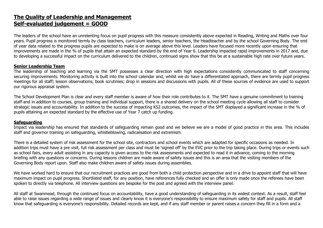# **The Quality of Leadership and Management Self-evaluated judgement = GOOD**

The leaders of the school have an unrelenting focus on pupil progress with this measure consistently above expected in Reading, Writing and Maths over four years. Pupil progress is monitored termly by class teachers, curriculum leaders, senior teachers, the Headteacher and by the school Governing Body. The end of year data related to the progress pupils are expected to make is on average above this level. Leaders have focused more recently upon ensuring that improvements are made in the % of pupils that attain an expected standard by the end of Year 6. Leadership impacted rapid improvements in 2017 and, due to developing a successful impact on the curriculum delivered to the children, continued signs show that this be at a sustainable high rate over future years.

#### **Senior Leadership Team**

The leadership of teaching and learning via the SMT possesses a clear direction with high expectations consistently communicated to staff concerning securing improvements. Monitoring activity is built into the school calendar and, whilst we do have a differentiated approach, there are termly pupil progress meetings for all staff; lesson observations; book scrutinies; drop in sessions and discussions with pupils. All of these sources of evidence are used to support our rigorous appraisal system.

The School Development Plan is clear and every staff member is aware of how their role contributes to it. The SMT have a genuine commitment to training staff and in addition to courses, group training and individual support, there is a shared delivery on the school meeting cycle allowing all staff to consider strategic issues and accountability. In addition to the success of impacting KS2 outcomes, the impact of the SMT displayed a significant increase in the % of pupils attaining an expected standard by the effective use of Year 7 catch up funding.

## **Safeguarding**

Impact via leadership has ensured that standards of safeguarding remain good and we believe we are a model of good practice in this area. This includes staff and governor training on safeguarding, whistleblowing, radicalisation and extremism.

There is a detailed system of risk assessment for the school site, contractors and school events which are adapted for specific occasions as needed. In addition trips must have a pre visit, full risk assessment per class and must be 'signed off' by the EVC prior to the trip taking place. During trips or events such as school fairs, every adult assisting in any capacity is given access to the risk assessments and expected to read it in advance, coming to the morning briefing with any questions or concerns. During lessons children are made aware of safety issues and this is an area that the visiting members of the Governing Body report upon. Staff also make children aware of safety issues during assemblies.

We have worked hard to ensure that our recruitment practices are good from both a child protection perspective and in a drive to appoint staff that will have maximum impact on pupil progress. Shortlisted staff, for any position, have references fully checked and an offer is only made once the referees have been spoken to directly via telephone. All interview questions are bespoke for the post and agreed with the interview panel.

All staff at Swanmead, through the continued focus on accountability, have a good understanding of safeguarding in its widest context. As a result, staff feel able to raise issues regarding a wide range of issues and clearly know it is everyone's responsibility to ensure maximum safety for staff and pupils. All staff know that safeguarding is everyone's responsibility. Detailed records are kept, and if any staff member or parent raises a concern they fill in a form and a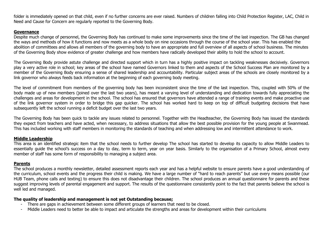folder is immediately opened on that child, even if no further concerns are ever raised. Numbers of children falling into Child Protection Register, LAC, Child in Need and Cause for Concern are regularly reported to the Governing Body.

#### **Governance**

Despite much change of personnel, the Governing Body has continued to make some improvements since the time of the last inspection. The GB has changed the ways and methods of how it functions and now meets as a whole body on nine occasions through the course of the school year. This has enabled the abolition of committees and allows all members of the governing body to have an appropriate and full overview of all aspects of school business. The minutes of the Governing Body show evidence of greater challenge and how members have radically developed their ability to hold the school to account.

The Governing Body provide astute challenge and directed support which in turn has a highly positive impact on tackling weaknesses decisively. Governors play a very active role in school; key areas of the school have named Governors linked to them and aspects of the School Success Plan are monitored by a member of the Governing Body ensuring a sense of shared leadership and accountability. Particular subject areas of the schools are closely monitored by a link governor who always feeds back information at the beginning of each governing body meeting.

The level of commitment from members of the governing body has been inconsistent since the time of the last inspection. This, coupled with 50% of the body made up of new members (joined over the last two years), has meant a varying level of understanding and dedication towards fully appreciating the challenges and areas for development in the school. The school has ensured that governors have attended a range of training events and make proactive use of the link governor system in order to bridge this gap quicker. The school has worked hard to keep on top of difficult budgeting decisions that have subsequently left the school running a deficit budget over the last two years.

The Governing Body has been quick to tackle any issues related to personnel. Together with the Headteacher, the Governing Body has issued the standards they expect from teachers and have acted, when necessary, to address situations that allow the best possible provision for the young people at Swanmead. This has included working with staff members in monitoring the standards of teaching and when addressing low and intermittent attendance to work.

#### **Middle Leadership**

This area is an identified strategic item that the school needs to further develop The school has started to develop its capacity to allow Middle Leaders to essentially guide the school's success on a day to day, term to term, year on year basis. Similarly to the organisation of a Primary School, almost every member of staff has some form of responsibility to managing a subject area.

#### **Parents**

The school produces a monthly newsletter, detailed assessment reports each year and has a helpful website to ensure parents have a good understanding of the curriculum, school events and the progress their child is making. We have a large number of "hard to reach parents" but use every means possible (our HUB Team, phone calls and texting) to ensure this does not disadvantage their children. The school produces an annual questionnaire for parents and these suggest improving levels of parental engagement and support. The results of the questionnaire consistently point to the fact that parents believe the school is well led and managed.

#### **The quality of leadership and management is not yet Outstanding because;**

- There are gaps in achievement between some different groups of learners that need to be closed.
- Middle Leaders need to better be able to impact and articulate the strengths and areas for development within their curriculums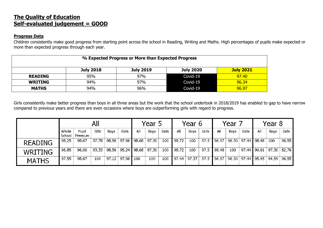# **The Quality of Education Self-evaluated judgement = GOOD**

## **Progress Data**

Children consistently make good progress from starting point across the school in Reading, Writing and Maths. High percentages of pupils make expected or more than expected progress through each year.

| % Expected Progress or More than Expected Progress |                  |                  |                  |                  |  |
|----------------------------------------------------|------------------|------------------|------------------|------------------|--|
|                                                    | <b>July 2018</b> | <b>July 2019</b> | <b>July 2020</b> | <b>July 2021</b> |  |
| <b>READING</b>                                     | 95%              | 97%              | Covid-19         | 97.40            |  |
| <b>WRITING</b>                                     | 94%              | 97%              | Covid-19         | 96.34            |  |
| <b>MATHS</b>                                       | 94%              | 96%              | Covid-19         | 96.97            |  |

Girls consistently make better progress than boys in all three areas but the work that the school undertook in 2018/2019 has enabled to gap to have narrow compared to previous years and there are even occasions where boys are outperforming girls with regard to progress.

|                |                 |                  |            |       |       |                | Year 5 |       |       | Year 6 |       |       | Year 7 |       |               | Year 8 |       |
|----------------|-----------------|------------------|------------|-------|-------|----------------|--------|-------|-------|--------|-------|-------|--------|-------|---------------|--------|-------|
|                | Whole<br>School | Pupil<br>Premium | <b>SEN</b> | Boys  | Girls | All            | Boys   | Girls | All   | Boys   | Girls | All   | Boys   | Girls | All           | Boys   | Girls |
| <b>READING</b> | 98.25           | 98.67            | 97.78      | 98.56 |       | 97.96 ▌98.68 │ | 97.30  | 100   | 98.72 | 100    | 97.5  | 96.97 | 96.30  |       | 97.44 98.48   | 100    | 96.55 |
| <b>WRITING</b> | 96.85           | 96.00            | 93.33      | 98.56 |       | 95.24   98.68  | 97.30  | 100   | 98.72 | 100    | 97.5  | 98.48 | 100    |       | 97.44 90.91   | 97.30  | 82.76 |
| <b>MATHS</b>   | 97.55           | 98.67            | 100        | 97.12 | 97.96 | 100            | 100    | 100   | 97.44 | 97.37  | 97.5  | 96.97 | 96.30  |       | 97.44   95.45 | 94.59  | 96.55 |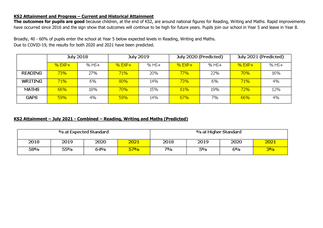## **KS2 Attainment and Progress – Current and Historical Attainment**

**The outcomes for pupils are good** because children, at the end of KS2, are around national figures for Reading, Writing and Maths. Rapid improvements have occurred since 2016 and the sign show that outcomes will continue to be high for future years. Pupils join our school in Year 5 and leave in Year 8.

Broadly, 40 - 60% of pupils enter the school at Year 5 below expected levels in Reading, Writing and Maths. Due to COVID-19, the results for both 2020 and 2021 have been predicted.

|                |          | <b>July 2018</b> | <b>July 2019</b> |       |          | July 2020 (Predicted) | July 2021 (Predicted) |       |  |
|----------------|----------|------------------|------------------|-------|----------|-----------------------|-----------------------|-------|--|
|                | $%$ EXP+ | $%$ HS+          | $%$ EXP+         | % HS+ | $%$ EXP+ | $%$ HS+               | $%$ EXP+              | % HS+ |  |
| <b>READING</b> | 73%      | 27%              | 71%              | 20%   | 77%      | 22%                   | 70%                   | 16%   |  |
| WRITING        | 71%      | 6%               | 80%              | 14%   | 73%      | 6%                    | 71%                   | 4%    |  |
| <b>MATHS</b>   | 66%      | 18%              | 70%              | 15%   | 81%      | 19%                   | 72%                   | 12%   |  |
| <b>GAPS</b>    | 59%      | 4%               | 59%              | 14%   | 67%      | 7%                    | 66%                   | 4%    |  |

## **KS2 Attainment – July 2021 - Combined – Reading, Writing and Maths (Predicted)**

| % at Expected Standard |      |      |      | % at Higher Standard |      |      |      |
|------------------------|------|------|------|----------------------|------|------|------|
| 2018                   | 2019 | 2020 | 2021 | 2018                 | 2019 | 2020 | 2021 |
| 58%                    | 55%  | 64%  | 57%  | 7%                   | 5%   | 6%   | 3%   |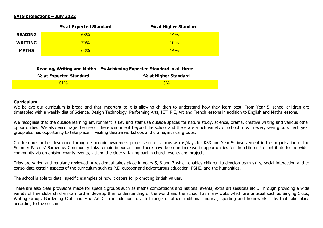#### **SATS projections – July 2022**

|                | % at Expected Standard | % at Higher Standard |
|----------------|------------------------|----------------------|
| <b>READING</b> | 68%                    | 14%                  |
| <b>WRITING</b> | $70\%$                 | 10%                  |
| <b>MATHS</b>   | 68%                    | 14%                  |

| Reading, Writing and Maths $-$ % Achieving Expected Standard in all three |                      |  |  |  |
|---------------------------------------------------------------------------|----------------------|--|--|--|
| % at Expected Standard                                                    | % at Higher Standard |  |  |  |
| 61%                                                                       | 5%                   |  |  |  |

#### **Curriculum**

We believe our curriculum is broad and that important to it is allowing children to understand how they learn best. From Year 5, school children are timetabled with a weekly diet of Science, Design Technology, Performing Arts, ICT, P.E, Art and French lessons in addition to English and Maths lessons.

We recognise that the outside learning environment is key and staff use outside spaces for nature study, science, drama, creative writing and various other opportunities. We also encourage the use of the environment beyond the school and there are a rich variety of school trips in every year group. Each year group also has opportunity to take place in visiting theatre workshops and drama/musical groups.

Children are further developed through economic awareness projects such as focus weeks/days for KS3 and Year 5s involvement in the organisation of the Summer Parents' Barbeque. Community links remain important and there have been an increase in opportunities for the children to contribute to the wider community via organising charity events, visiting the elderly, taking part in church events and projects.

Trips are varied and regularly reviewed. A residential takes place in years 5, 6 and 7 which enables children to develop team skills, social interaction and to consolidate certain aspects of the curriculum such as P.E, outdoor and adventurous education, PSHE, and the humanities.

The school is able to detail specific examples of how it caters for promoting British Values.

There are also clear provisions made for specific groups such as maths competitions and national events, extra art sessions etc... Through providing a wide variety of free clubs children can further develop their understanding of the world and the school has many clubs which are unusual such as Singing Clubs, Writing Group, Gardening Club and Fine Art Club in addition to a full range of other traditional musical, sporting and homework clubs that take place according to the season.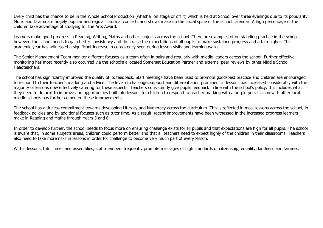Every child has the chance to be in the Whole School Production (whether on stage or off it) which is held at School over three evenings due to its popularity. Music and Drama are hugely popular and regular informal concerts and shows make up the social spine of the school calendar. A high percentage of the children take advantage of studying for the Arts Award.

Learners make good progress in Reading, Writing, Maths and other subjects across the school. There are examples of outstanding practice in the school, however, the school needs to gain better consistency and thus raise the expectations of all pupils to make sustained progress and attain higher. This academic year has witnessed a significant increase in consistency seen during lesson visits and learning walks.

The Senior Management Team monitor different focuses as a team often in pairs and regularly with middle leaders across the school. Further effective monitoring has most recently also occurred via the school's allocated Somerset Education Partner and external peer reviews by other Middle School Headteachers.

The school has significantly improved the quality of its feedback. Staff meetings have been used to promote good/best practice and children are encouraged to respond to their teacher's marking and advice. The level of challenge, support and differentiation prominent in lessons has increased considerably with the majority of lessons now effectively catering for these aspects. Teachers consistently give pupils feedback in line with the school's policy; this includes what they need to do next to improve and opportunities built into lessons for children to respond to teacher marking with a purple pen. Liaison with other local middle schools has further cemented these improvements.

The school has a tireless commitment towards developing Literacy and Numeracy across the curriculum. This is reflected in most lessons across the school, in feedback policies and by additional focuses such as tutor time. As a result, recent improvements have been witnessed in the increased progress learners make in Reading and Maths through Years 5 and 6.

In order to develop further, the school needs to focus more on ensuring challenge exists for all pupils and that expectations are high for all pupils. The school is aware that, in some subjects areas, children could perform better and that all teachers need to expect highly of the children in their classrooms. Teachers also need to take more risks in lessons in order for challenge to become very much part of every lesson.

Within lessons, tutor times and assemblies, staff members frequently promote messages of high standards of citizenship, equality, kindness and fairness.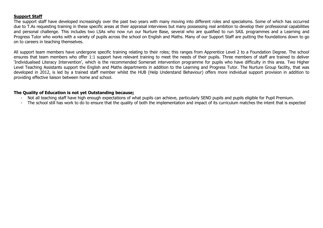## **Support Staff**

The support staff have developed increasingly over the past two years with many moving into different roles and specialisms. Some of which has occurred due to T.As requesting training in these specific areas at their appraisal interviews but many possessing real ambition to develop their professional capabilities and personal challenge. This includes two LSAs who now run our Nurture Base, several who are qualified to run SAIL programmes and a Learning and Progress Tutor who works with a variety of pupils across the school on English and Maths. Many of our Support Staff are putting the foundations down to go on to careers in teaching themselves.

All support team members have undergone specific training relating to their roles; this ranges from Apprentice Level 2 to a Foundation Degree. The school ensures that team members who offer 1:1 support have relevant training to meet the needs of their pupils. Three members of staff are trained to deliver 'Individualised Literacy Intervention', which is the recommended Somerset intervention programme for pupils who have difficulty in this area. Two Higher Level Teaching Assistants support the English and Maths departments in addition to the Learning and Progress Tutor. The Nurture Group facility, that was developed in 2012, is led by a trained staff member whilst the HUB (Help Understand Behaviour) offers more individual support provision in addition to providing effective liaison between home and school.

## **The Quality of Education is not yet Outstanding because;**

- Not all teaching staff have high enough expectations of what pupils can achieve, particularly SEND pupils and pupils eligible for Pupil Premium.
- The school still has work to do to ensure that the quality of both the implementation and impact of its curriculum matches the intent that is expected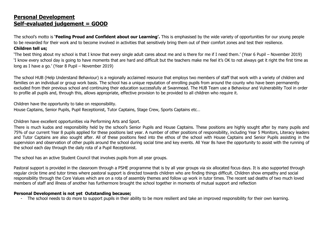# **Personal Development Self-evaluated judgement = GOOD**

The school's motto is **'Feeling Proud and Confident about our Learning'.** This is emphasised by the wide variety of opportunities for our young people to be rewarded for their work and to become involved in activities that sensitively bring them out of their comfort zones and test their resilience. **Children tell us;**

'The best thing about my school is that I know that every single adult cares about me and is there for me if I need them.' (Year 6 Pupil – November 2019) 'I know every school day is going to have moments that are hard and difficult but the teachers make me feel it's OK to not always get it right the first time as long as I have a go.' (Year 8 Pupil – November 2019)

The school HUB (Help Understand Behaviour) is a regionally acclaimed resource that employs two members of staff that work with a variety of children and families on an individual or group work basis. The school has a unique reputation of enrolling pupils from around the county who have been permanently excluded from their previous school and continuing their education successfully at Swanmead. The HUB Team use a Behaviour and Vulnerability Tool in order to profile all pupils and, through this, allows appropriate, effective provision to be provided to all children who require it.

Children have the opportunity to take on responsibility.

House Captains, Senior Pupils, Pupil Receptionist, Tutor Captains, Stage Crew, Sports Captains etc…

Children have excellent opportunities via Performing Arts and Sport.

There is much kudos and responsibility held by the school's Senior Pupils and House Captains. These positions are highly sought after by many pupils and 75% of our current Year 8 pupils applied for these positions last year. A number of other positions of responsibility, including Year 5 Monitors, Literacy leaders and Tutor Captains are also sought after. All of these positions feed into the ethos of the school with House Captains and Senior Pupils assisting in the supervision and observation of other pupils around the school during social time and key events. All Year 8s have the opportunity to assist with the running of the school each day through the daily rota of a Pupil Receptionist.

The school has an active Student Council that involves pupils from all year groups.

Pastoral support is provided in the classroom through a PSHE programme that is by all year groups via six allocated focus days. It is also supported through regular circle time and tutor times where pastoral support is directed towards children who are finding things difficult. Children show empathy and social responsibility through the Core Values which are on a rota of assembly themes and follow up work in tutor times. The recent sad deaths of two much loved members of staff and illness of another has furthermore brought the school together in moments of mutual support and reflection

# **Personal Development is not yet Outstanding because;**

- The school needs to do more to support pupils in their ability to be more resilient and take an improved responsibility for their own learning.